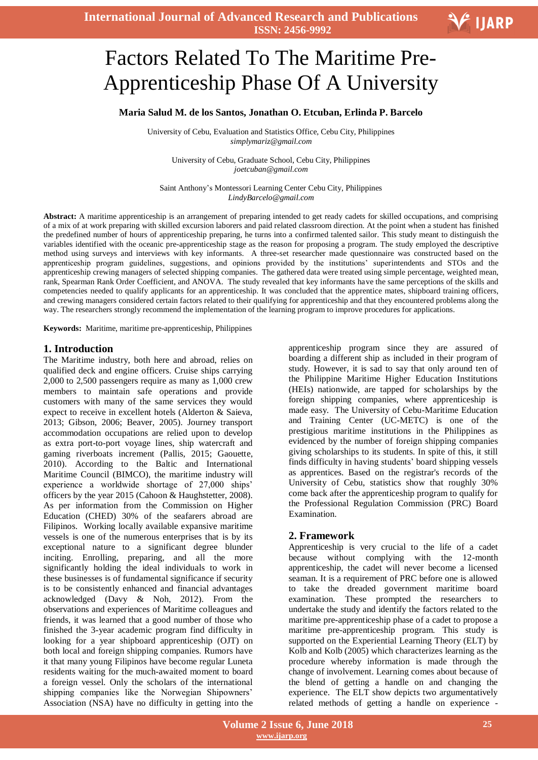

Ι

# Factors Related To The Maritime Pre-Apprenticeship Phase Of A University

### **Maria Salud M. de los Santos, Jonathan O. Etcuban, Erlinda P. Barcelo**

University of Cebu, Evaluation and Statistics Office, Cebu City, Philippines *simplymariz@gmail.com*

University of Cebu, Graduate School, Cebu City, Philippines *joetcuban@gmail.com*

Saint Anthony's Montessori Learning Center Cebu City, Philippines *LindyBarcelo@gmail.com*

**Abstract:** A maritime apprenticeship is an arrangement of preparing intended to get ready cadets for skilled occupations, and comprising of a mix of at work preparing with skilled excursion laborers and paid related classroom direction. At the point when a student has finished the predefined number of hours of apprenticeship preparing, he turns into a confirmed talented sailor. This study meant to distinguish the variables identified with the oceanic pre-apprenticeship stage as the reason for proposing a program. The study employed the descriptive method using surveys and interviews with key informants. A three-set researcher made questionnaire was constructed based on the apprenticeship program guidelines, suggestions, and opinions provided by the institutions' superintendents and STOs and the apprenticeship crewing managers of selected shipping companies. The gathered data were treated using simple percentage, weighted mean, rank, Spearman Rank Order Coefficient, and ANOVA. The study revealed that key informants have the same perceptions of the skills and competencies needed to qualify applicants for an apprenticeship. It was concluded that the apprentice mates, shipboard training officers, and crewing managers considered certain factors related to their qualifying for apprenticeship and that they encountered problems along the way. The researchers strongly recommend the implementation of the learning program to improve procedures for applications.

**Keywords:** Maritime, maritime pre-apprenticeship, Philippines

#### **1. Introduction**

The Maritime industry, both here and abroad, relies on qualified deck and engine officers. Cruise ships carrying 2,000 to 2,500 passengers require as many as 1,000 crew members to maintain safe operations and provide customers with many of the same services they would expect to receive in excellent hotels (Alderton & Saieva, 2013; Gibson, 2006; Beaver, 2005). Journey transport accommodation occupations are relied upon to develop as extra port-to-port voyage lines, ship watercraft and gaming riverboats increment (Pallis, 2015; Gaouette, 2010). According to the Baltic and International Maritime Council (BIMCO), the maritime industry will experience a worldwide shortage of 27,000 ships' officers by the year 2015 (Cahoon & Haughstetter, 2008). As per information from the Commission on Higher Education (CHED) 30% of the seafarers abroad are Filipinos. Working locally available expansive maritime vessels is one of the numerous enterprises that is by its exceptional nature to a significant degree blunder inciting. Enrolling, preparing, and all the more significantly holding the ideal individuals to work in these businesses is of fundamental significance if security is to be consistently enhanced and financial advantages acknowledged (Davy & Noh, 2012). From the observations and experiences of Maritime colleagues and friends, it was learned that a good number of those who finished the 3-year academic program find difficulty in looking for a year shipboard apprenticeship (OJT) on both local and foreign shipping companies. Rumors have it that many young Filipinos have become regular Luneta residents waiting for the much-awaited moment to board a foreign vessel. Only the scholars of the international shipping companies like the Norwegian Shipowners' Association (NSA) have no difficulty in getting into the

apprenticeship program since they are assured of boarding a different ship as included in their program of study. However, it is sad to say that only around ten of the Philippine Maritime Higher Education Institutions (HEIs) nationwide, are tapped for scholarships by the foreign shipping companies, where apprenticeship is made easy. The University of Cebu-Maritime Education and Training Center (UC-METC) is one of the prestigious maritime institutions in the Philippines as evidenced by the number of foreign shipping companies giving scholarships to its students. In spite of this, it still finds difficulty in having students' board shipping vessels as apprentices. Based on the registrar's records of the University of Cebu, statistics show that roughly 30% come back after the apprenticeship program to qualify for the Professional Regulation Commission (PRC) Board Examination.

## **2. Framework**

Apprenticeship is very crucial to the life of a cadet because without complying with the 12-month apprenticeship, the cadet will never become a licensed seaman. It is a requirement of PRC before one is allowed to take the dreaded government maritime board examination. These prompted the researchers to undertake the study and identify the factors related to the maritime pre-apprenticeship phase of a cadet to propose a maritime pre-apprenticeship program. This study is supported on the Experiential Learning Theory (ELT) by Kolb and Kolb (2005) which characterizes learning as the procedure whereby information is made through the change of involvement. Learning comes about because of the blend of getting a handle on and changing the experience. The ELT show depicts two argumentatively related methods of getting a handle on experience -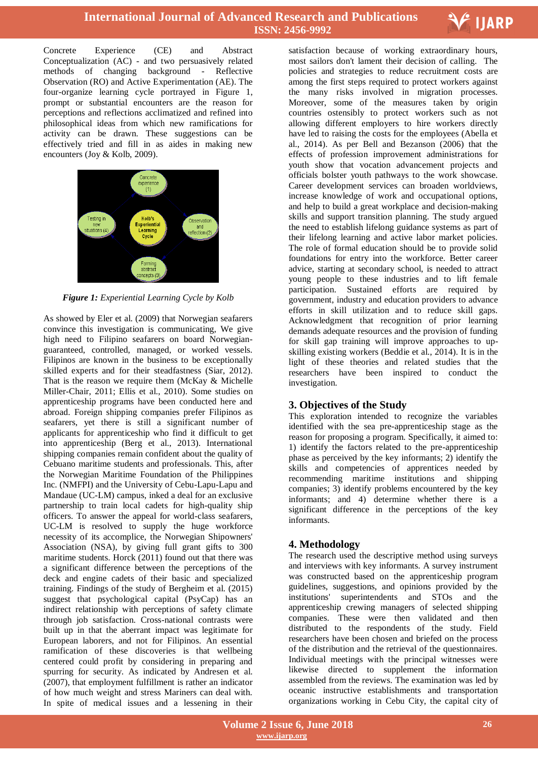

Concrete Experience (CE) and Abstract Conceptualization (AC) - and two persuasively related methods of changing background - Reflective Observation (RO) and Active Experimentation (AE). The four-organize learning cycle portrayed in Figure 1, prompt or substantial encounters are the reason for perceptions and reflections acclimatized and refined into philosophical ideas from which new ramifications for activity can be drawn. These suggestions can be effectively tried and fill in as aides in making new encounters (Joy & Kolb, 2009).



*Figure 1: Experiential Learning Cycle by Kolb*

As showed by Eler et al. (2009) that Norwegian seafarers convince this investigation is communicating, We give high need to Filipino seafarers on board Norwegianguaranteed, controlled, managed, or worked vessels. Filipinos are known in the business to be exceptionally skilled experts and for their steadfastness (Siar, 2012). That is the reason we require them (McKay & Michelle Miller-Chair, 2011; Ellis et al., 2010). Some studies on apprenticeship programs have been conducted here and abroad. Foreign shipping companies prefer Filipinos as seafarers, yet there is still a significant number of applicants for apprenticeship who find it difficult to get into apprenticeship (Berg et al., 2013). International shipping companies remain confident about the quality of Cebuano maritime students and professionals. This, after the Norwegian Maritime Foundation of the Philippines Inc. (NMFPI) and the University of Cebu-Lapu-Lapu and Mandaue (UC-LM) campus, inked a deal for an exclusive partnership to train local cadets for high-quality ship officers. To answer the appeal for world-class seafarers, UC-LM is resolved to supply the huge workforce necessity of its accomplice, the Norwegian Shipowners' Association (NSA), by giving full grant gifts to 300 maritime students. Horck (2011) found out that there was a significant difference between the perceptions of the deck and engine cadets of their basic and specialized training. Findings of the study of Bergheim et al. (2015) suggest that psychological capital (PsyCap) has an indirect relationship with perceptions of safety climate through job satisfaction. Cross-national contrasts were built up in that the aberrant impact was legitimate for European laborers, and not for Filipinos. An essential ramification of these discoveries is that wellbeing centered could profit by considering in preparing and spurring for security. As indicated by Andresen et al. (2007), that employment fulfillment is rather an indicator of how much weight and stress Mariners can deal with. In spite of medical issues and a lessening in their

 satisfaction because of working extraordinary hours, most sailors don't lament their decision of calling. The policies and strategies to reduce recruitment costs are among the first steps required to protect workers against the many risks involved in migration processes. Moreover, some of the measures taken by origin countries ostensibly to protect workers such as not allowing different employers to hire workers directly have led to raising the costs for the employees (Abella et al., 2014). As per Bell and Bezanson (2006) that the effects of profession improvement administrations for youth show that vocation advancement projects and officials bolster youth pathways to the work showcase. Career development services can broaden worldviews, increase knowledge of work and occupational options, and help to build a great workplace and decision-making skills and support transition planning. The study argued the need to establish lifelong guidance systems as part of their lifelong learning and active labor market policies. The role of formal education should be to provide solid foundations for entry into the workforce. Better career advice, starting at secondary school, is needed to attract young people to these industries and to lift female participation. Sustained efforts are required by government, industry and education providers to advance efforts in skill utilization and to reduce skill gaps. Acknowledgment that recognition of prior learning demands adequate resources and the provision of funding for skill gap training will improve approaches to upskilling existing workers (Beddie et al., 2014). It is in the light of these theories and related studies that the researchers have been inspired to conduct the investigation.

# **3. Objectives of the Study**

This exploration intended to recognize the variables identified with the sea pre-apprenticeship stage as the reason for proposing a program. Specifically, it aimed to: 1) identify the factors related to the pre-apprenticeship phase as perceived by the key informants; 2) identify the skills and competencies of apprentices needed by recommending maritime institutions and shipping companies; 3) identify problems encountered by the key informants; and 4) determine whether there is a significant difference in the perceptions of the key informants.

# **4. Methodology**

The research used the descriptive method using surveys and interviews with key informants. A survey instrument was constructed based on the apprenticeship program guidelines, suggestions, and opinions provided by the institutions' superintendents and STOs and the apprenticeship crewing managers of selected shipping companies. These were then validated and then distributed to the respondents of the study. Field researchers have been chosen and briefed on the process of the distribution and the retrieval of the questionnaires. Individual meetings with the principal witnesses were likewise directed to supplement the information assembled from the reviews. The examination was led by oceanic instructive establishments and transportation organizations working in Cebu City, the capital city of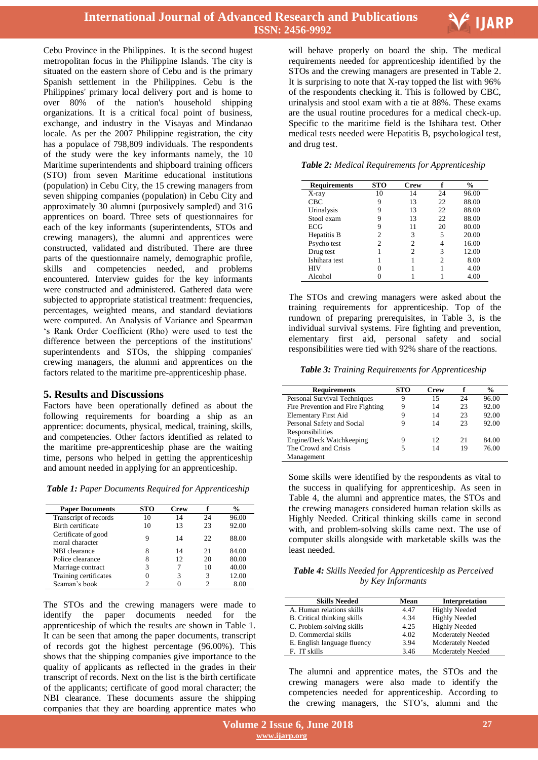

Cebu Province in the Philippines. It is the second hugest metropolitan focus in the Philippine Islands. The city is situated on the eastern shore of Cebu and is the primary Spanish settlement in the Philippines. Cebu is the Philippines' primary local delivery port and is home to over 80% of the nation's household shipping organizations. It is a critical focal point of business, exchange, and industry in the Visayas and Mindanao locale. As per the 2007 Philippine registration, the city has a populace of 798,809 individuals. The respondents of the study were the key informants namely, the 10 Maritime superintendents and shipboard training officers (STO) from seven Maritime educational institutions (population) in Cebu City, the 15 crewing managers from seven shipping companies (population) in Cebu City and approximately 30 alumni (purposively sampled) and 316 apprentices on board. Three sets of questionnaires for each of the key informants (superintendents, STOs and crewing managers), the alumni and apprentices were constructed, validated and distributed. There are three parts of the questionnaire namely, demographic profile, skills and competencies needed, and problems encountered. Interview guides for the key informants were constructed and administered. Gathered data were subjected to appropriate statistical treatment: frequencies, percentages, weighted means, and standard deviations were computed. An Analysis of Variance and Spearman 's Rank Order Coefficient (Rho) were used to test the difference between the perceptions of the institutions' superintendents and STOs, the shipping companies' crewing managers, the alumni and apprentices on the factors related to the maritime pre-apprenticeship phase.

## **5. Results and Discussions**

Factors have been operationally defined as about the following requirements for boarding a ship as an apprentice: documents, physical, medical, training, skills, and competencies. Other factors identified as related to the maritime pre-apprenticeship phase are the waiting time, persons who helped in getting the apprenticeship and amount needed in applying for an apprenticeship.

*Table 1: Paper Documents Required for Apprenticeship*

| <b>Paper Documents</b>                 | <b>STO</b> | <b>Crew</b> |     | $\frac{0}{0}$ |
|----------------------------------------|------------|-------------|-----|---------------|
| Transcript of records                  | 10         | 14          | 24  | 96.00         |
| Birth certificate                      | 10         | 13          | 23  | 92.00         |
| Certificate of good<br>moral character | 9          | 14          | 22. | 88.00         |
| NBI clearance                          | 8          | 14          | 21  | 84.00         |
| Police clearance                       | 8          | 12          | 20  | 80.00         |
| Marriage contract                      | 3          |             | 10  | 40.00         |
| Training certificates                  |            | 3           | 3   | 12.00         |
| Seaman's book                          | 2          |             |     | 8.00          |

The STOs and the crewing managers were made to identify the paper documents needed for the apprenticeship of which the results are shown in Table 1. It can be seen that among the paper documents, transcript of records got the highest percentage (96.00%). This shows that the shipping companies give importance to the quality of applicants as reflected in the grades in their transcript of records. Next on the list is the birth certificate of the applicants; certificate of good moral character; the NBI clearance. These documents assure the shipping companies that they are boarding apprentice mates who

 will behave properly on board the ship. The medical requirements needed for apprenticeship identified by the STOs and the crewing managers are presented in Table 2. It is surprising to note that X-ray topped the list with 96% of the respondents checking it. This is followed by CBC, urinalysis and stool exam with a tie at 88%. These exams are the usual routine procedures for a medical check-up. Specific to the maritime field is the Ishihara test. Other medical tests needed were Hepatitis B, psychological test, and drug test.

|  |  | Table 2: Medical Requirements for Apprenticeship |
|--|--|--------------------------------------------------|
|  |  |                                                  |

| <b>Requirements</b> | <b>STO</b> | Crew                        |                | $\frac{0}{0}$ |
|---------------------|------------|-----------------------------|----------------|---------------|
| X-ray               | 10         | 14                          | 24             | 96.00         |
| CBC                 | 9          | 13                          | 22.            | 88.00         |
| Urinalysis          | 9          | 13                          | 22             | 88.00         |
| Stool exam          | 9          | 13                          | 22             | 88.00         |
| ECG                 | 9          | 11                          | 20             | 80.00         |
| Hepatitis B         | 2          | 3                           | 5              | 20.00         |
| Psycho test         | 2          | 2                           |                | 16.00         |
| Drug test           |            | $\mathcal{D}_{\mathcal{A}}$ | 3              | 12.00         |
| Ishihara test       |            |                             | $\overline{c}$ | 8.00          |
| <b>HIV</b>          |            |                             |                | 4.00          |
| Alcohol             |            |                             |                | 4.00          |

The STOs and crewing managers were asked about the training requirements for apprenticeship. Top of the rundown of preparing prerequisites, in Table 3, is the individual survival systems. Fire fighting and prevention, elementary first aid, personal safety and social responsibilities were tied with 92% share of the reactions.

*Table 3: Training Requirements for Apprenticeship*

| <b>Requirements</b>               | <b>STO</b> | <b>Crew</b> |    | $\frac{6}{9}$ |
|-----------------------------------|------------|-------------|----|---------------|
| Personal Survival Techniques      | 9          | 15          | 24 | 96.00         |
| Fire Prevention and Fire Fighting | 9          | 14          | 23 | 92.00         |
| <b>Elementary First Aid</b>       | 9          | 14          | 23 | 92.00         |
| Personal Safety and Social        | 9          | 14          | 23 | 92.00         |
| Responsibilities                  |            |             |    |               |
| Engine/Deck Watchkeeping          | 9          | 12          | 21 | 84.00         |
| The Crowd and Crisis              | 5          | 14          | 19 | 76.00         |
| Management                        |            |             |    |               |

Some skills were identified by the respondents as vital to the success in qualifying for apprenticeship. As seen in Table 4, the alumni and apprentice mates, the STOs and the crewing managers considered human relation skills as Highly Needed. Critical thinking skills came in second with, and problem-solving skills came next. The use of computer skills alongside with marketable skills was the least needed.

*Table 4: Skills Needed for Apprenticeship as Perceived by Key Informants*

| <b>Skills Needed</b>               | Mean | Interpretation       |
|------------------------------------|------|----------------------|
| A. Human relations skills          | 4.47 | <b>Highly Needed</b> |
| <b>B.</b> Critical thinking skills | 4.34 | <b>Highly Needed</b> |
| C. Problem-solving skills          | 4.25 | <b>Highly Needed</b> |
| D. Commercial skills               | 4.02 | Moderately Needed    |
| E. English language fluency        | 3.94 | Moderately Needed    |
| F. IT skills                       | 3.46 | Moderately Needed    |

The alumni and apprentice mates, the STOs and the crewing managers were also made to identify the competencies needed for apprenticeship. According to the crewing managers, the STO's, alumni and the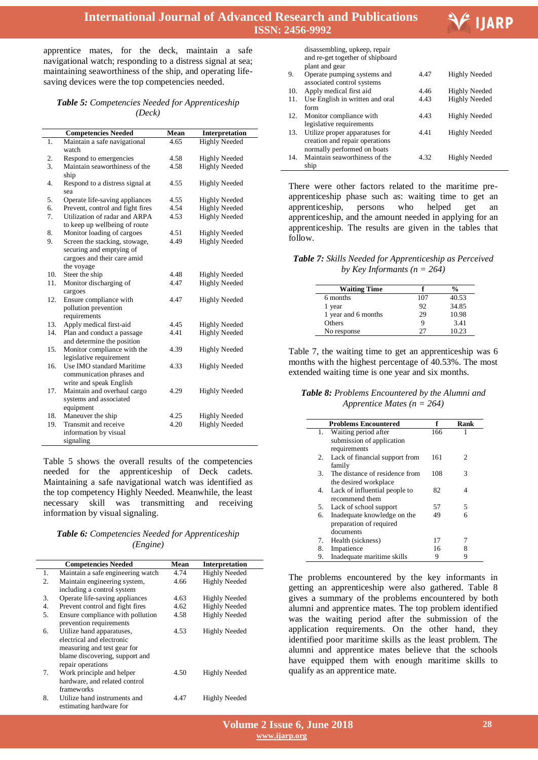

Ι

# **International Journal of Advanced Research and Publications ISSN: 2456-9992**

apprentice mates, for the deck, maintain a safe navigational watch; responding to a distress signal at sea; maintaining seaworthiness of the ship, and operating lifesaving devices were the top competencies needed.

#### *Table 5: Competencies Needed for Apprenticeship (Deck)*

|     | <b>Competencies Needed</b>                                                               | Mean | Interpretation       |
|-----|------------------------------------------------------------------------------------------|------|----------------------|
| 1.  | Maintain a safe navigational<br>watch                                                    | 4.65 | <b>Highly Needed</b> |
| 2.  | Respond to emergencies                                                                   | 4.58 | <b>Highly Needed</b> |
| 3.  | Maintain seaworthiness of the                                                            | 4.58 | <b>Highly Needed</b> |
|     | ship                                                                                     |      |                      |
| 4.  | Respond to a distress signal at<br>sea                                                   | 4.55 | <b>Highly Needed</b> |
| 5.  | Operate life-saving appliances                                                           | 4.55 | <b>Highly Needed</b> |
| 6.  | Prevent, control and fight fires                                                         | 4.54 | <b>Highly Needed</b> |
| 7.  | Utilization of radar and ARPA<br>to keep up wellbeing of route                           | 4.53 | <b>Highly Needed</b> |
| 8.  | Monitor loading of cargoes                                                               | 4.51 | <b>Highly Needed</b> |
| 9.  | Screen the stacking, stowage,<br>securing and emptying of<br>cargoes and their care amid | 4.49 | <b>Highly Needed</b> |
|     | the voyage                                                                               |      |                      |
| 10. | Steer the ship                                                                           | 4.48 | <b>Highly Needed</b> |
| 11. | Monitor discharging of<br>cargoes                                                        | 4.47 | <b>Highly Needed</b> |
| 12. | Ensure compliance with<br>pollution prevention<br>requirements                           | 4.47 | <b>Highly Needed</b> |
| 13. | Apply medical first-aid                                                                  | 4.45 | <b>Highly Needed</b> |
| 14. | Plan and conduct a passage<br>and determine the position                                 | 4.41 | <b>Highly Needed</b> |
| 15. | Monitor compliance with the<br>legislative requirement                                   | 4.39 | <b>Highly Needed</b> |
| 16. | Use IMO standard Maritime<br>communication phrases and<br>write and speak English        | 4.33 | <b>Highly Needed</b> |
| 17. | Maintain and overhaul cargo<br>systems and associated<br>equipment                       | 4.29 | <b>Highly Needed</b> |
| 18. | Maneuver the ship                                                                        | 4.25 | <b>Highly Needed</b> |
| 19. | Transmit and receive                                                                     | 4.20 | <b>Highly Needed</b> |
|     | information by visual<br>signaling                                                       |      |                      |

Table 5 shows the overall results of the competencies needed for the apprenticeship of Deck cadets. Maintaining a safe navigational watch was identified as the top competency Highly Needed. Meanwhile, the least necessary skill was transmitting and receiving information by visual signaling.

| <b>Table 6:</b> Competencies Needed for Apprenticeship |
|--------------------------------------------------------|
| ( <i>Engine</i> )                                      |

|    | <b>Competencies Needed</b>        | Mean | <b>Interpretation</b> |
|----|-----------------------------------|------|-----------------------|
| 1. | Maintain a safe engineering watch | 4.74 | <b>Highly Needed</b>  |
| 2. | Maintain engineering system,      | 4.66 | <b>Highly Needed</b>  |
|    | including a control system        |      |                       |
| 3. | Operate life-saving appliances    | 4.63 | <b>Highly Needed</b>  |
| 4. | Prevent control and fight fires   | 4.62 | <b>Highly Needed</b>  |
| 5. | Ensure compliance with pollution  | 4.58 | <b>Highly Needed</b>  |
|    | prevention requirements           |      |                       |
| 6. | Utilize hand apparatuses,         | 4.53 | <b>Highly Needed</b>  |
|    | electrical and electronic         |      |                       |
|    | measuring and test gear for       |      |                       |
|    | blame discovering, support and    |      |                       |
|    | repair operations                 |      |                       |
| 7. | Work principle and helper         | 4.50 | <b>Highly Needed</b>  |
|    | hardware, and related control     |      |                       |
|    | frameworks                        |      |                       |
| 8. | Utilize hand instruments and      | 4.47 | <b>Highly Needed</b>  |
|    | estimating hardware for           |      |                       |

| disassembling, upkeep, repair    |
|----------------------------------|
| and re-get together of shipboard |
| plant and gear                   |

|     | plant and gear                                                                                  |      |                      |
|-----|-------------------------------------------------------------------------------------------------|------|----------------------|
| 9.  | Operate pumping systems and<br>associated control systems                                       | 4.47 | <b>Highly Needed</b> |
| 10. | Apply medical first aid                                                                         | 4.46 | <b>Highly Needed</b> |
| 11. | Use English in written and oral<br>form                                                         | 4.43 | <b>Highly Needed</b> |
| 12. | Monitor compliance with<br>legislative requirements                                             | 4.43 | <b>Highly Needed</b> |
| 13. | Utilize proper apparatuses for<br>creation and repair operations<br>normally performed on boats | 4.41 | <b>Highly Needed</b> |
| 14. | Maintain seaworthiness of the<br>ship                                                           | 4.32 | <b>Highly Needed</b> |

There were other factors related to the maritime preapprenticeship phase such as: waiting time to get an apprenticeship, persons who helped get an apprenticeship, and the amount needed in applying for an apprenticeship. The results are given in the tables that follow.

*Table 7: Skills Needed for Apprenticeship as Perceived by Key Informants (n = 264)*

| <b>Waiting Time</b> |     | $\frac{0}{0}$ |
|---------------------|-----|---------------|
| 6 months            | 107 | 40.53         |
| 1 year              | 92  | 34.85         |
| 1 year and 6 months | 29  | 10.98         |
| Others              | 9   | 3.41          |
| No response         | 27  | 10.23         |

Table 7, the waiting time to get an apprenticeship was 6 months with the highest percentage of 40.53%. The most extended waiting time is one year and six months.

*Table 8: Problems Encountered by the Alumni and Apprentice Mates (n = 264)*

|          | <b>Problems Encountered</b>                            | f        | Rank |
|----------|--------------------------------------------------------|----------|------|
| 1.       | Waiting period after<br>submission of application      | 166      |      |
| 2.       | requirements<br>Lack of financial support from         | 161      | 2    |
| 3.       | family<br>The distance of residence from               | 108      | 3    |
| 4.       | the desired workplace<br>Lack of influential people to | 82       | 4    |
| 5.       | recommend them<br>Lack of school support               | 57       | 5    |
| 6.       | Inadequate knowledge on the<br>preparation of required | 49       | 6    |
|          | documents                                              |          |      |
| 7.<br>8. | Health (sickness)<br>Impatience                        | 17<br>16 |      |
| 9.       | Inadequate maritime skills                             | 9        | 9    |

The problems encountered by the key informants in getting an apprenticeship were also gathered. Table 8 gives a summary of the problems encountered by both alumni and apprentice mates. The top problem identified was the waiting period after the submission of the application requirements. On the other hand, they identified poor maritime skills as the least problem. The alumni and apprentice mates believe that the schools have equipped them with enough maritime skills to qualify as an apprentice mate.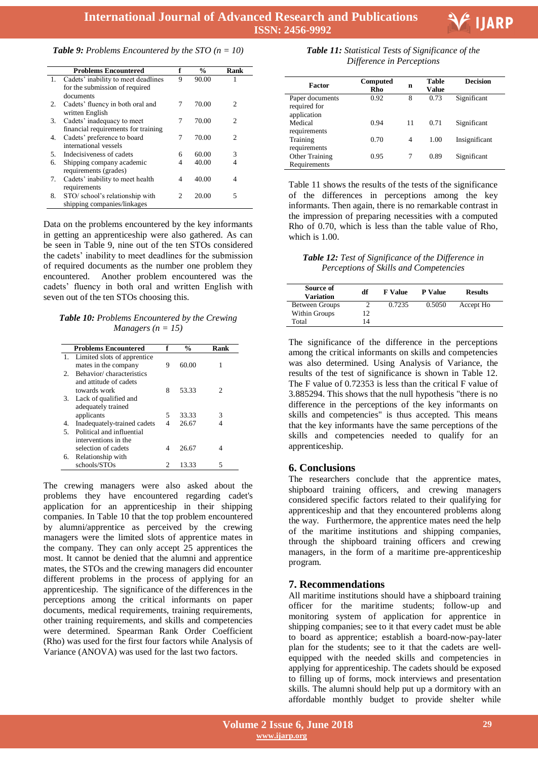

| <b>Table 9:</b> Problems Encountered by the STO $(n = 10)$ |  |  |
|------------------------------------------------------------|--|--|
|------------------------------------------------------------|--|--|

|    | <b>Problems Encountered</b>            | f                           | $\frac{0}{0}$ | Rank           |
|----|----------------------------------------|-----------------------------|---------------|----------------|
|    | 1. Cadets' inability to meet deadlines | 9                           | 90.00         | 1              |
|    | for the submission of required         |                             |               |                |
|    | documents                              |                             |               |                |
| 2. | Cadets' fluency in both oral and       | 7                           | 70.00         | $\mathfrak{D}$ |
|    | written English                        |                             |               |                |
| 3. | Cadets' inadequacy to meet             | 7                           | 70.00         | 2              |
|    | financial requirements for training    |                             |               |                |
| 4. | Cadets' preference to board            | 7                           | 70.00         | 2              |
|    | international vessels                  |                             |               |                |
| 5. | Indecisiveness of cadets               | 6                           | 60.00         | 3              |
| 6. | Shipping company academic              | 4                           | 40.00         | 4              |
|    | requirements (grades)                  |                             |               |                |
| 7. | Cadets' inability to meet health       | 4                           | 40.00         | 4              |
|    | requirements                           |                             |               |                |
| 8. | STO/school's relationship with         | $\mathcal{D}_{\mathcal{L}}$ | 20.00         | 5              |
|    | shipping companies/linkages            |                             |               |                |

Data on the problems encountered by the key informants in getting an apprenticeship were also gathered. As can be seen in Table 9, nine out of the ten STOs considered the cadets' inability to meet deadlines for the submission of required documents as the number one problem they encountered. Another problem encountered was the cadets' fluency in both oral and written English with seven out of the ten STOs choosing this.

*Table 10: Problems Encountered by the Crewing Managers*  $(n = 15)$ 

|    | <b>Problems Encountered</b>    | f | $\frac{0}{0}$ | Rank |
|----|--------------------------------|---|---------------|------|
|    | 1. Limited slots of apprentice |   |               |      |
|    | mates in the company           | 9 | 60.00         |      |
| 2. | Behavior/characteristics       |   |               |      |
|    | and attitude of cadets         |   |               |      |
|    | towards work                   | 8 | 53.33         | 2    |
| 3. | Lack of qualified and          |   |               |      |
|    | adequately trained             |   |               |      |
|    | applicants                     | 5 | 33.33         | 3    |
| 4. | Inadequately-trained cadets    | 4 | 26.67         |      |
| 5. | Political and influential      |   |               |      |
|    | interventions in the           |   |               |      |
|    | selection of cadets            | 4 | 26.67         |      |
| 6. | Relationship with              |   |               |      |
|    | schools/STOs                   | 2 | 13.33         | 5    |

The crewing managers were also asked about the problems they have encountered regarding cadet's application for an apprenticeship in their shipping companies. In Table 10 that the top problem encountered by alumni/apprentice as perceived by the crewing managers were the limited slots of apprentice mates in the company. They can only accept 25 apprentices the most. It cannot be denied that the alumni and apprentice mates, the STOs and the crewing managers did encounter different problems in the process of applying for an apprenticeship. The significance of the differences in the perceptions among the critical informants on paper documents, medical requirements, training requirements, other training requirements, and skills and competencies were determined. Spearman Rank Order Coefficient (Rho) was used for the first four factors while Analysis of Variance (ANOVA) was used for the last two factors.

 *Table 11: Statistical Tests of Significance of the Difference in Perceptions* 

| Factor                                         | Computed<br>Rho | n  | <b>Table</b><br>Value | <b>Decision</b> |
|------------------------------------------------|-----------------|----|-----------------------|-----------------|
| Paper documents<br>required for<br>application | 0.92            | 8  | 0.73                  | Significant     |
| Medical<br>requirements                        | 0.94            | 11 | 0.71                  | Significant     |
| Training<br>requirements                       | 0.70            | 4  | 1.00                  | Insignificant   |
| Other Training<br>Requirements                 | 0.95            | 7  | 0.89                  | Significant     |

Table 11 shows the results of the tests of the significance of the differences in perceptions among the key informants. Then again, there is no remarkable contrast in the impression of preparing necessities with a computed Rho of 0.70, which is less than the table value of Rho, which is 1.00.

*Table 12: Test of Significance of the Difference in Perceptions of Skills and Competencies*

| Source of<br><b>Variation</b> | df | <b>F</b> Value | <b>P</b> Value | <b>Results</b> |
|-------------------------------|----|----------------|----------------|----------------|
| Between Groups                |    | 0.7235         | 0.5050         | Accept Ho      |
| Within Groups                 | 12 |                |                |                |
| Total                         | ۹4 |                |                |                |

The significance of the difference in the perceptions among the critical informants on skills and competencies was also determined. Using Analysis of Variance, the results of the test of significance is shown in Table 12. The F value of 0.72353 is less than the critical F value of 3.885294. This shows that the null hypothesis "there is no difference in the perceptions of the key informants on skills and competencies" is thus accepted. This means that the key informants have the same perceptions of the skills and competencies needed to qualify for an apprenticeship.

## **6. Conclusions**

The researchers conclude that the apprentice mates, shipboard training officers, and crewing managers considered specific factors related to their qualifying for apprenticeship and that they encountered problems along the way. Furthermore, the apprentice mates need the help of the maritime institutions and shipping companies, through the shipboard training officers and crewing managers, in the form of a maritime pre-apprenticeship program.

## **7. Recommendations**

All maritime institutions should have a shipboard training officer for the maritime students; follow-up and monitoring system of application for apprentice in shipping companies; see to it that every cadet must be able to board as apprentice; establish a board-now-pay-later plan for the students; see to it that the cadets are wellequipped with the needed skills and competencies in applying for apprenticeship. The cadets should be exposed to filling up of forms, mock interviews and presentation skills. The alumni should help put up a dormitory with an affordable monthly budget to provide shelter while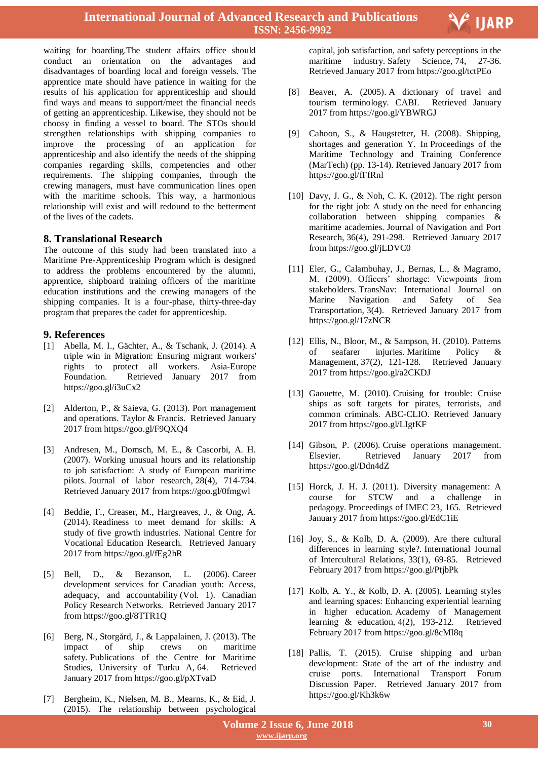

waiting for boarding.The student affairs office should conduct an orientation on the advantages and disadvantages of boarding local and foreign vessels. The apprentice mate should have patience in waiting for the results of his application for apprenticeship and should find ways and means to support/meet the financial needs of getting an apprenticeship. Likewise, they should not be choosy in finding a vessel to board. The STOs should strengthen relationships with shipping companies to improve the processing of an application for apprenticeship and also identify the needs of the shipping companies regarding skills, competencies and other requirements. The shipping companies, through the crewing managers, must have communication lines open with the maritime schools. This way, a harmonious relationship will exist and will redound to the betterment of the lives of the cadets.

## **8. Translational Research**

The outcome of this study had been translated into a Maritime Pre-Apprenticeship Program which is designed to address the problems encountered by the alumni, apprentice, shipboard training officers of the maritime education institutions and the crewing managers of the shipping companies. It is a four-phase, thirty-three-day program that prepares the cadet for apprenticeship.

#### **9. References**

- [1] Abella, M. I., Gächter, A., & Tschank, J. (2014). A triple win in Migration: Ensuring migrant workers' rights to protect all workers. Asia-Europe Foundation. Retrieved January 2017 from https://goo.gl/i3uCx2
- [2] Alderton, P., & Saieva, G. (2013). Port management and operations. Taylor & Francis. Retrieved January 2017 from https://goo.gl/F9QXQ4
- [3] Andresen, M., Domsch, M. E., & Cascorbi, A. H. (2007). Working unusual hours and its relationship to job satisfaction: A study of European maritime pilots. Journal of labor research, 28(4), 714-734. Retrieved January 2017 from https://goo.gl/0fmgwl
- [4] Beddie, F., Creaser, M., Hargreaves, J., & Ong, A. (2014). Readiness to meet demand for skills: A study of five growth industries. National Centre for Vocational Education Research. Retrieved January 2017 from https://goo.gl/fEg2hR
- [5] Bell, D., & Bezanson, L. (2006). Career development services for Canadian youth: Access, adequacy, and accountability (Vol. 1). Canadian Policy Research Networks. Retrieved January 2017 from https://goo.gl/8TTR1Q
- [6] Berg, N., Storgård, J., & Lappalainen, J. (2013). The impact of ship crews on maritime safety. Publications of the Centre for Maritime Studies, University of Turku A, 64. Retrieved January 2017 from https://goo.gl/pXTvaD
- [7] Bergheim, K., Nielsen, M. B., Mearns, K., & Eid, J. (2015). The relationship between psychological

 capital, job satisfaction, and safety perceptions in the maritime industry. Safety Science, 74, 27-36. Retrieved January 2017 from https://goo.gl/tctPEo

- [8] Beaver, A. (2005). A dictionary of travel and tourism terminology. CABI. Retrieved January 2017 from https://goo.gl/YBWRGJ
- [9] Cahoon, S., & Haugstetter, H. (2008). Shipping, shortages and generation Y. In Proceedings of the Maritime Technology and Training Conference (MarTech) (pp. 13-14). Retrieved January 2017 from https://goo.gl/fFfRnl
- [10] Davy, J. G., & Noh, C. K. (2012). The right person for the right job: A study on the need for enhancing collaboration between shipping companies & maritime academies. Journal of Navigation and Port Research, 36(4), 291-298. Retrieved January 2017 from https://goo.gl/jLDVC0
- [11] Eler, G., Calambuhay, J., Bernas, L., & Magramo, M. (2009). Officers' shortage: Viewpoints from stakeholders. TransNav: International Journal on Marine Navigation and Safety of Sea Transportation, 3(4). Retrieved January 2017 from https://goo.gl/17zNCR
- [12] Ellis, N., Bloor, M., & Sampson, H. (2010). Patterns of seafarer injuries. Maritime Policy & Management, 37(2), 121-128. Retrieved January 2017 from https://goo.gl/a2CKDJ
- [13] Gaouette, M. (2010). Cruising for trouble: Cruise ships as soft targets for pirates, terrorists, and common criminals. ABC-CLIO. Retrieved January 2017 from https://goo.gl/LIgtKF
- [14] Gibson, P. (2006). Cruise operations management. Elsevier. Retrieved January 2017 from https://goo.gl/Ddn4dZ
- [15] Horck, J. H. J. (2011). Diversity management: A course for STCW and a challenge in pedagogy. Proceedings of IMEC 23, 165. Retrieved January 2017 from https://goo.gl/EdC1iE
- [16] Joy, S., & Kolb, D. A. (2009). Are there cultural differences in learning style?. International Journal of Intercultural Relations, 33(1), 69-85. Retrieved February 2017 from https://goo.gl/PtjbPk
- [17] Kolb, A. Y., & Kolb, D. A. (2005). Learning styles and learning spaces: Enhancing experiential learning in higher education. Academy of Management learning & education, 4(2), 193-212. Retrieved February 2017 from https://goo.gl/8cMI8q
- [18] Pallis, T. (2015). Cruise shipping and urban development: State of the art of the industry and cruise ports. International Transport Forum Discussion Paper. Retrieved January 2017 from https://goo.gl/Kh3k6w